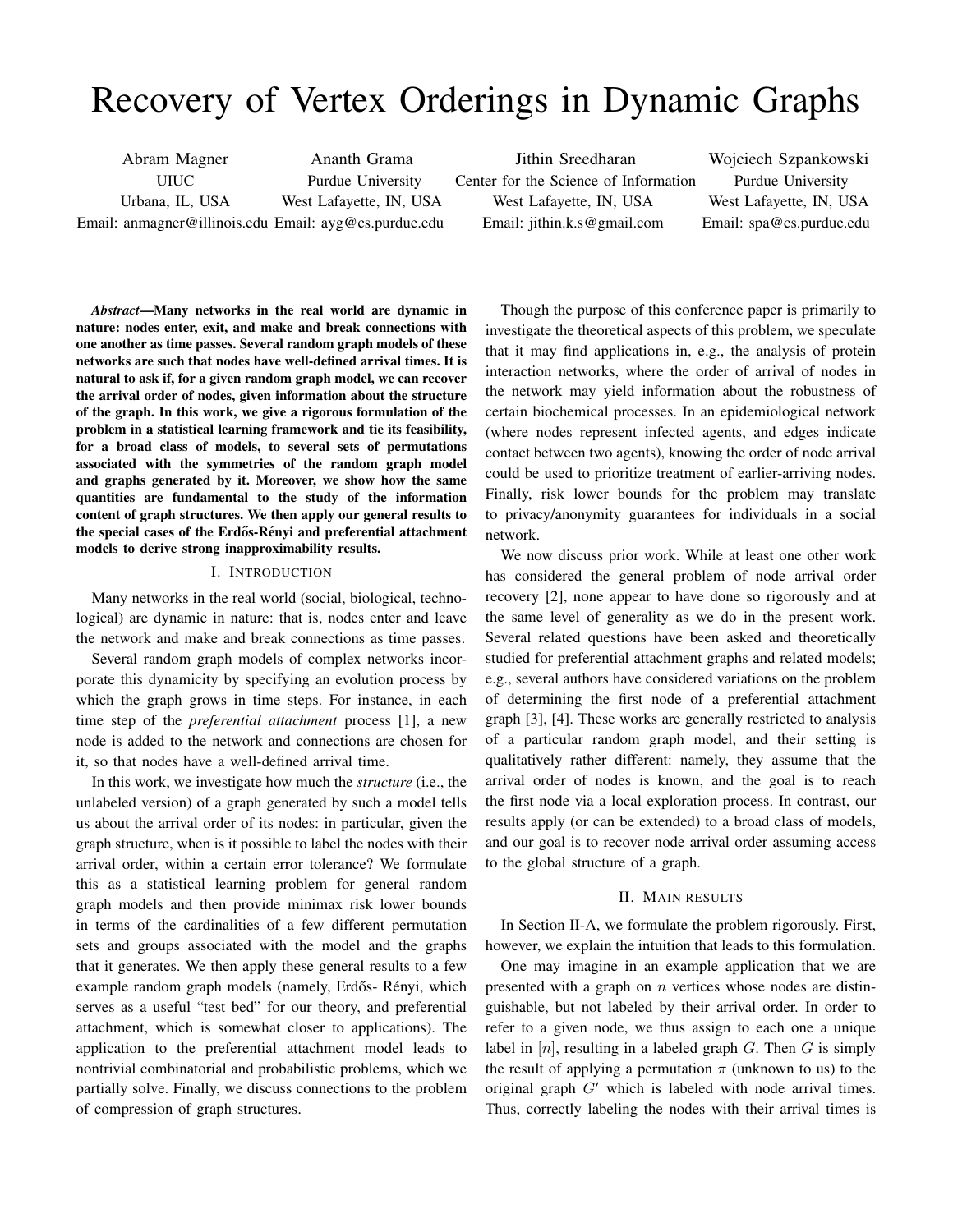# Recovery of Vertex Orderings in Dynamic Graphs

Abram Magner UIUC Urbana, IL, USA Email: anmagner@illinois.edu Email: ayg@cs.purdue.edu Ananth Grama Purdue University West Lafayette, IN, USA

Jithin Sreedharan Center for the Science of Information West Lafayette, IN, USA Email: jithin.k.s@gmail.com

Wojciech Szpankowski Purdue University West Lafayette, IN, USA Email: spa@cs.purdue.edu

*Abstract*—Many networks in the real world are dynamic in nature: nodes enter, exit, and make and break connections with one another as time passes. Several random graph models of these networks are such that nodes have well-defined arrival times. It is natural to ask if, for a given random graph model, we can recover the arrival order of nodes, given information about the structure of the graph. In this work, we give a rigorous formulation of the problem in a statistical learning framework and tie its feasibility, for a broad class of models, to several sets of permutations associated with the symmetries of the random graph model and graphs generated by it. Moreover, we show how the same quantities are fundamental to the study of the information content of graph structures. We then apply our general results to the special cases of the Erdős-Rényi and preferential attachment models to derive strong inapproximability results.

## I. INTRODUCTION

Many networks in the real world (social, biological, technological) are dynamic in nature: that is, nodes enter and leave the network and make and break connections as time passes.

Several random graph models of complex networks incorporate this dynamicity by specifying an evolution process by which the graph grows in time steps. For instance, in each time step of the *preferential attachment* process [1], a new node is added to the network and connections are chosen for it, so that nodes have a well-defined arrival time.

In this work, we investigate how much the *structure* (i.e., the unlabeled version) of a graph generated by such a model tells us about the arrival order of its nodes: in particular, given the graph structure, when is it possible to label the nodes with their arrival order, within a certain error tolerance? We formulate this as a statistical learning problem for general random graph models and then provide minimax risk lower bounds in terms of the cardinalities of a few different permutation sets and groups associated with the model and the graphs that it generates. We then apply these general results to a few example random graph models (namely, Erdős- Rényi, which serves as a useful "test bed" for our theory, and preferential attachment, which is somewhat closer to applications). The application to the preferential attachment model leads to nontrivial combinatorial and probabilistic problems, which we partially solve. Finally, we discuss connections to the problem of compression of graph structures.

Though the purpose of this conference paper is primarily to investigate the theoretical aspects of this problem, we speculate that it may find applications in, e.g., the analysis of protein interaction networks, where the order of arrival of nodes in the network may yield information about the robustness of certain biochemical processes. In an epidemiological network (where nodes represent infected agents, and edges indicate contact between two agents), knowing the order of node arrival could be used to prioritize treatment of earlier-arriving nodes. Finally, risk lower bounds for the problem may translate to privacy/anonymity guarantees for individuals in a social network.

We now discuss prior work. While at least one other work has considered the general problem of node arrival order recovery [2], none appear to have done so rigorously and at the same level of generality as we do in the present work. Several related questions have been asked and theoretically studied for preferential attachment graphs and related models; e.g., several authors have considered variations on the problem of determining the first node of a preferential attachment graph [3], [4]. These works are generally restricted to analysis of a particular random graph model, and their setting is qualitatively rather different: namely, they assume that the arrival order of nodes is known, and the goal is to reach the first node via a local exploration process. In contrast, our results apply (or can be extended) to a broad class of models, and our goal is to recover node arrival order assuming access to the global structure of a graph.

#### II. MAIN RESULTS

In Section II-A, we formulate the problem rigorously. First, however, we explain the intuition that leads to this formulation.

One may imagine in an example application that we are presented with a graph on  $n$  vertices whose nodes are distinguishable, but not labeled by their arrival order. In order to refer to a given node, we thus assign to each one a unique label in  $[n]$ , resulting in a labeled graph  $G$ . Then  $G$  is simply the result of applying a permutation  $\pi$  (unknown to us) to the original graph  $G'$  which is labeled with node arrival times. Thus, correctly labeling the nodes with their arrival times is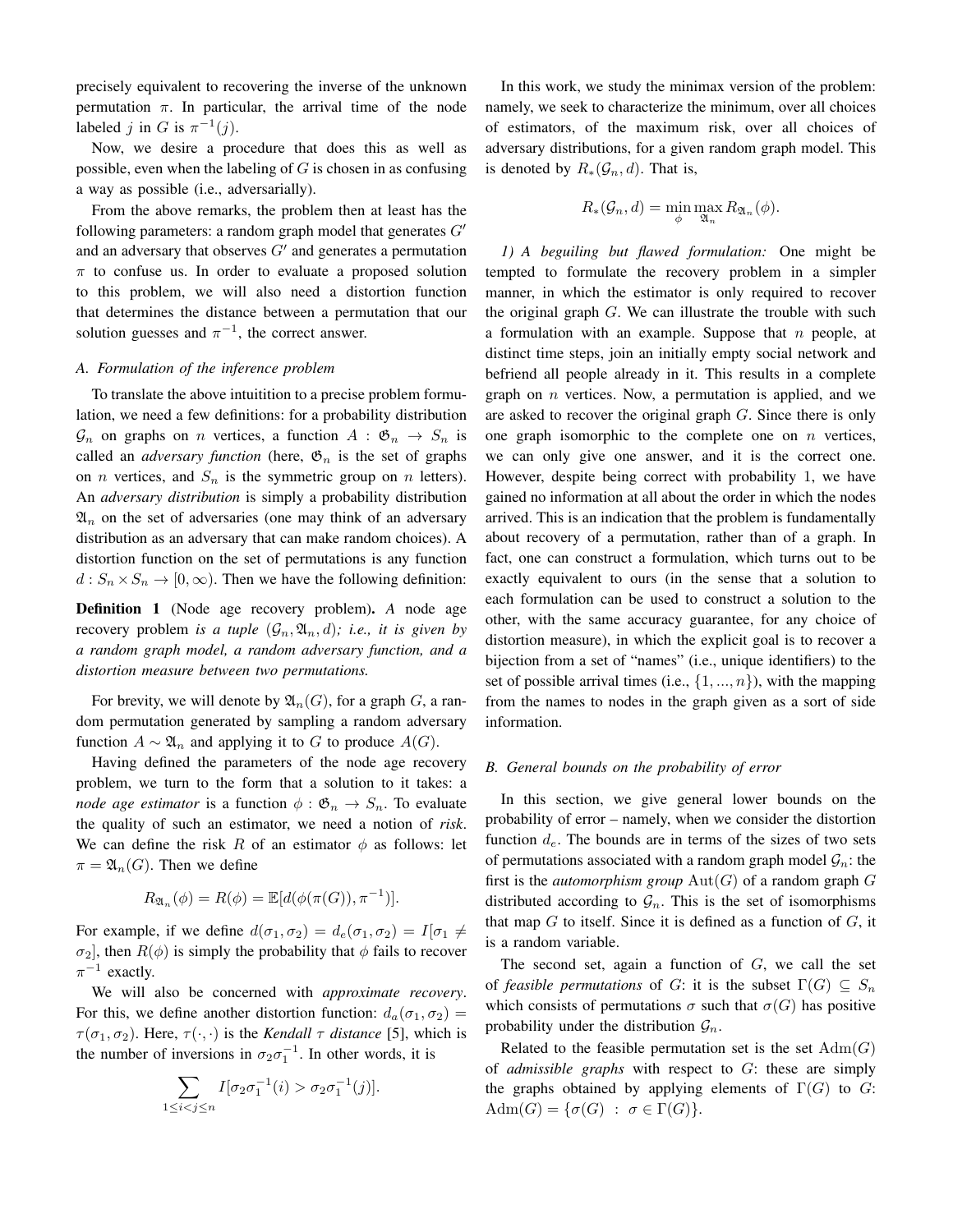precisely equivalent to recovering the inverse of the unknown permutation  $\pi$ . In particular, the arrival time of the node labeled j in G is  $\pi^{-1}(j)$ .

Now, we desire a procedure that does this as well as possible, even when the labeling of  $G$  is chosen in as confusing a way as possible (i.e., adversarially).

From the above remarks, the problem then at least has the following parameters: a random graph model that generates  $G'$ and an adversary that observes  $G'$  and generates a permutation  $\pi$  to confuse us. In order to evaluate a proposed solution to this problem, we will also need a distortion function that determines the distance between a permutation that our solution guesses and  $\pi^{-1}$ , the correct answer.

## *A. Formulation of the inference problem*

To translate the above intuitition to a precise problem formulation, we need a few definitions: for a probability distribution  $\mathcal{G}_n$  on graphs on *n* vertices, a function  $A : \mathfrak{G}_n \to S_n$  is called an *adversary function* (here,  $\mathfrak{G}_n$  is the set of graphs on *n* vertices, and  $S_n$  is the symmetric group on *n* letters). An *adversary distribution* is simply a probability distribution  $\mathfrak{A}_n$  on the set of adversaries (one may think of an adversary distribution as an adversary that can make random choices). A distortion function on the set of permutations is any function  $d: S_n \times S_n \to [0, \infty)$ . Then we have the following definition:

Definition 1 (Node age recovery problem). *A* node age recovery problem *is a tuple*  $(G_n, \mathfrak{A}_n, d)$ *; i.e., it is given by a random graph model, a random adversary function, and a distortion measure between two permutations.*

For brevity, we will denote by  $\mathfrak{A}_n(G)$ , for a graph G, a random permutation generated by sampling a random adversary function  $A \sim \mathfrak{A}_n$  and applying it to G to produce  $A(G)$ .

Having defined the parameters of the node age recovery problem, we turn to the form that a solution to it takes: a *node age estimator* is a function  $\phi : \mathfrak{G}_n \to S_n$ . To evaluate the quality of such an estimator, we need a notion of *risk*. We can define the risk R of an estimator  $\phi$  as follows: let  $\pi = \mathfrak{A}_n(G)$ . Then we define

$$
R_{\mathfrak{A}_n}(\phi) = R(\phi) = \mathbb{E}[d(\phi(\pi(G)), \pi^{-1})].
$$

For example, if we define  $d(\sigma_1, \sigma_2) = d_e(\sigma_1, \sigma_2) = I[\sigma_1 \neq \sigma_2]$  $\sigma_2$ , then  $R(\phi)$  is simply the probability that  $\phi$  fails to recover  $\pi^{-1}$  exactly.

We will also be concerned with *approximate recovery*. For this, we define another distortion function:  $d_a(\sigma_1, \sigma_2)$  =  $\tau(\sigma_1, \sigma_2)$ . Here,  $\tau(\cdot, \cdot)$  is the *Kendall*  $\tau$  *distance* [5], which is the number of inversions in  $\sigma_2 \sigma_1^{-1}$ . In other words, it is

$$
\sum_{1 \leq i < j \leq n} I[\sigma_2 \sigma_1^{-1}(i) > \sigma_2 \sigma_1^{-1}(j)].
$$

In this work, we study the minimax version of the problem: namely, we seek to characterize the minimum, over all choices of estimators, of the maximum risk, over all choices of adversary distributions, for a given random graph model. This is denoted by  $R_*(\mathcal{G}_n, d)$ . That is,

$$
R_*(\mathcal{G}_n, d) = \min_{\phi} \max_{\mathfrak{A}_n} R_{\mathfrak{A}_n}(\phi).
$$

*1) A beguiling but flawed formulation:* One might be tempted to formulate the recovery problem in a simpler manner, in which the estimator is only required to recover the original graph  $G$ . We can illustrate the trouble with such a formulation with an example. Suppose that  $n$  people, at distinct time steps, join an initially empty social network and befriend all people already in it. This results in a complete graph on  $n$  vertices. Now, a permutation is applied, and we are asked to recover the original graph G. Since there is only one graph isomorphic to the complete one on  $n$  vertices, we can only give one answer, and it is the correct one. However, despite being correct with probability 1, we have gained no information at all about the order in which the nodes arrived. This is an indication that the problem is fundamentally about recovery of a permutation, rather than of a graph. In fact, one can construct a formulation, which turns out to be exactly equivalent to ours (in the sense that a solution to each formulation can be used to construct a solution to the other, with the same accuracy guarantee, for any choice of distortion measure), in which the explicit goal is to recover a bijection from a set of "names" (i.e., unique identifiers) to the set of possible arrival times (i.e.,  $\{1, ..., n\}$ ), with the mapping from the names to nodes in the graph given as a sort of side information.

#### *B. General bounds on the probability of error*

In this section, we give general lower bounds on the probability of error – namely, when we consider the distortion function  $d_e$ . The bounds are in terms of the sizes of two sets of permutations associated with a random graph model  $\mathcal{G}_n$ : the first is the *automorphism group*  $Aut(G)$  of a random graph  $G$ distributed according to  $\mathcal{G}_n$ . This is the set of isomorphisms that map  $G$  to itself. Since it is defined as a function of  $G$ , it is a random variable.

The second set, again a function of  $G$ , we call the set of *feasible permutations* of G: it is the subset  $\Gamma(G) \subseteq S_n$ which consists of permutations  $\sigma$  such that  $\sigma(G)$  has positive probability under the distribution  $\mathcal{G}_n$ .

Related to the feasible permutation set is the set  $Adm(G)$ of *admissible graphs* with respect to G: these are simply the graphs obtained by applying elements of  $\Gamma(G)$  to G:  $\text{Adm}(G) = \{\sigma(G) : \sigma \in \Gamma(G)\}.$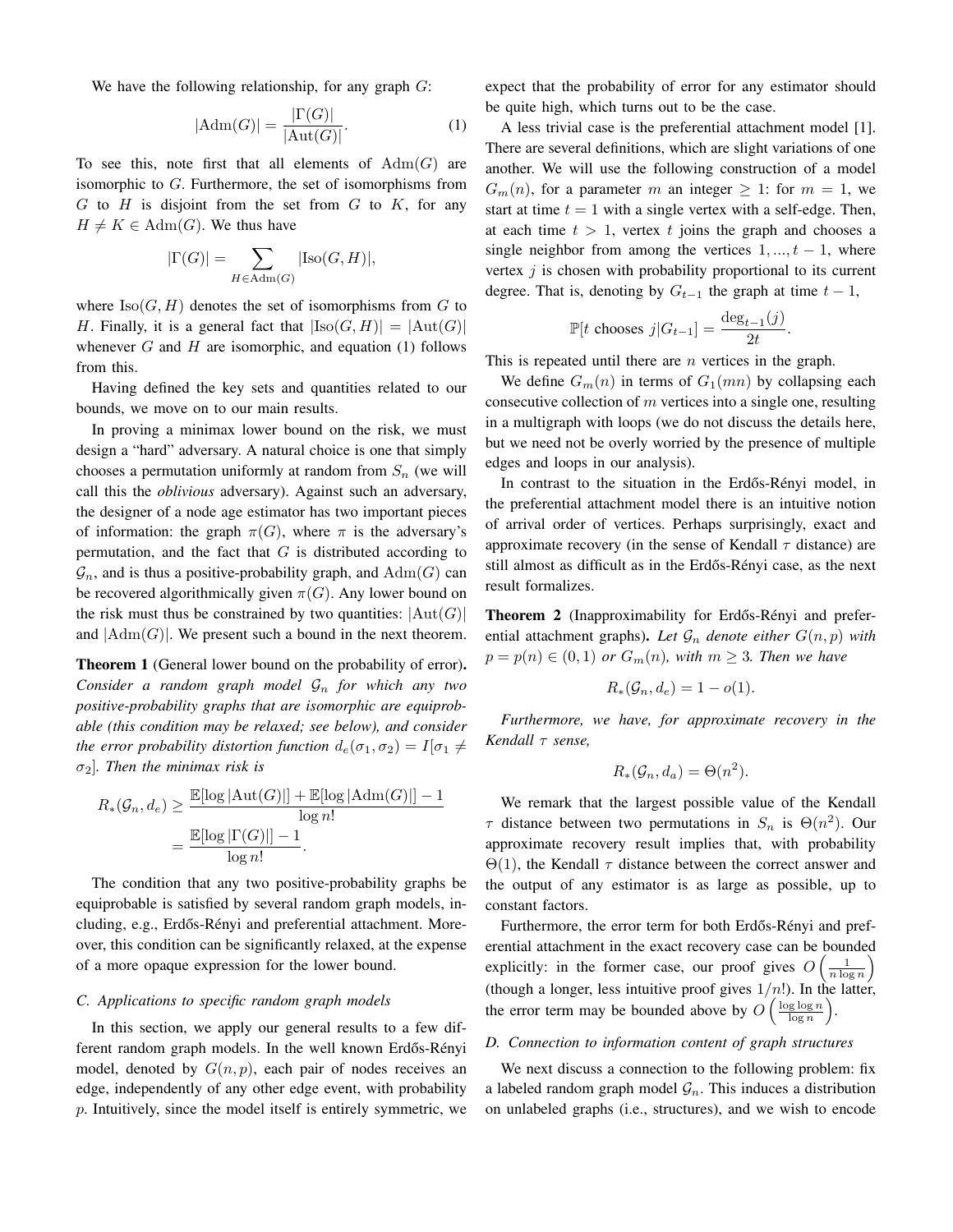We have the following relationship, for any graph  $G$ :

$$
|\text{Adm}(G)| = \frac{|\Gamma(G)|}{|\text{Aut}(G)|}.
$$
 (1)

To see this, note first that all elements of  $Adm(G)$  are isomorphic to G. Furthermore, the set of isomorphisms from  $G$  to  $H$  is disjoint from the set from  $G$  to  $K$ , for any  $H \neq K \in \text{Adm}(G)$ . We thus have

$$
|\Gamma(G)| = \sum_{H \in \text{Adm}(G)} |\text{Iso}(G, H)|,
$$

where  $\text{Iso}(G, H)$  denotes the set of isomorphisms from G to H. Finally, it is a general fact that  $|Iso(G, H)| = |Aut(G)|$ whenever  $G$  and  $H$  are isomorphic, and equation (1) follows from this.

Having defined the key sets and quantities related to our bounds, we move on to our main results.

In proving a minimax lower bound on the risk, we must design a "hard" adversary. A natural choice is one that simply chooses a permutation uniformly at random from  $S_n$  (we will call this the *oblivious* adversary). Against such an adversary, the designer of a node age estimator has two important pieces of information: the graph  $\pi(G)$ , where  $\pi$  is the adversary's permutation, and the fact that  $G$  is distributed according to  $\mathcal{G}_n$ , and is thus a positive-probability graph, and  $\text{Adm}(G)$  can be recovered algorithmically given  $\pi(G)$ . Any lower bound on the risk must thus be constrained by two quantities:  $|\text{Aut}(G)|$ and  $|Adm(G)|$ . We present such a bound in the next theorem.

Theorem 1 (General lower bound on the probability of error). *Consider a random graph model* G<sup>n</sup> *for which any two positive-probability graphs that are isomorphic are equiprobable (this condition may be relaxed; see below), and consider the error probability distortion function*  $d_e(\sigma_1, \sigma_2) = I[\sigma_1 \neq$ σ2]*. Then the minimax risk is*

$$
R_*(\mathcal{G}_n, d_e) \ge \frac{\mathbb{E}[\log |\mathrm{Aut}(G)|] + \mathbb{E}[\log |\mathrm{Adm}(G)|] - 1}{\log n!}
$$

$$
= \frac{\mathbb{E}[\log |\Gamma(G)|] - 1}{\log n!}
$$

The condition that any two positive-probability graphs be equiprobable is satisfied by several random graph models, including, e.g., Erdős-Rényi and preferential attachment. Moreover, this condition can be significantly relaxed, at the expense of a more opaque expression for the lower bound.

# *C. Applications to specific random graph models*

In this section, we apply our general results to a few different random graph models. In the well known Erdős-Rényi model, denoted by  $G(n, p)$ , each pair of nodes receives an edge, independently of any other edge event, with probability p. Intuitively, since the model itself is entirely symmetric, we expect that the probability of error for any estimator should be quite high, which turns out to be the case.

A less trivial case is the preferential attachment model [1]. There are several definitions, which are slight variations of one another. We will use the following construction of a model  $G_m(n)$ , for a parameter m an integer  $\geq 1$ : for  $m = 1$ , we start at time  $t = 1$  with a single vertex with a self-edge. Then, at each time  $t > 1$ , vertex t joins the graph and chooses a single neighbor from among the vertices  $1, ..., t - 1$ , where vertex  $j$  is chosen with probability proportional to its current degree. That is, denoting by  $G_{t-1}$  the graph at time  $t-1$ ,

$$
\mathbb{P}[t \text{ chooses } j | G_{t-1}] = \frac{\deg_{t-1}(j)}{2t}.
$$

This is repeated until there are *n* vertices in the graph.

We define  $G_m(n)$  in terms of  $G_1(mn)$  by collapsing each consecutive collection of  $m$  vertices into a single one, resulting in a multigraph with loops (we do not discuss the details here, but we need not be overly worried by the presence of multiple edges and loops in our analysis).

In contrast to the situation in the Erdős-Rényi model, in the preferential attachment model there is an intuitive notion of arrival order of vertices. Perhaps surprisingly, exact and approximate recovery (in the sense of Kendall  $\tau$  distance) are still almost as difficult as in the Erdős-Rényi case, as the next result formalizes.

Theorem 2 (Inapproximability for Erdős-Rényi and preferential attachment graphs). Let  $\mathcal{G}_n$  denote either  $G(n, p)$  with  $p = p(n) \in (0, 1)$  *or*  $G_m(n)$ *, with*  $m \geq 3$ *. Then we have* 

$$
R_*(\mathcal{G}_n, d_e) = 1 - o(1).
$$

*Furthermore, we have, for approximate recovery in the Kendall* τ *sense,*

$$
R_*(\mathcal{G}_n, d_a) = \Theta(n^2).
$$

We remark that the largest possible value of the Kendall  $\tau$  distance between two permutations in  $S_n$  is  $\Theta(n^2)$ . Our approximate recovery result implies that, with probability  $\Theta(1)$ , the Kendall  $\tau$  distance between the correct answer and the output of any estimator is as large as possible, up to constant factors.

Furthermore, the error term for both Erdős-Rényi and preferential attachment in the exact recovery case can be bounded explicitly: in the former case, our proof gives  $O\left(\frac{1}{n \log n}\right)$ (though a longer, less intuitive proof gives  $1/n!$ ). In the latter, the error term may be bounded above by  $O\left(\frac{\log \log n}{\log n}\right)$ .

# *D. Connection to information content of graph structures*

We next discuss a connection to the following problem: fix a labeled random graph model  $\mathcal{G}_n$ . This induces a distribution on unlabeled graphs (i.e., structures), and we wish to encode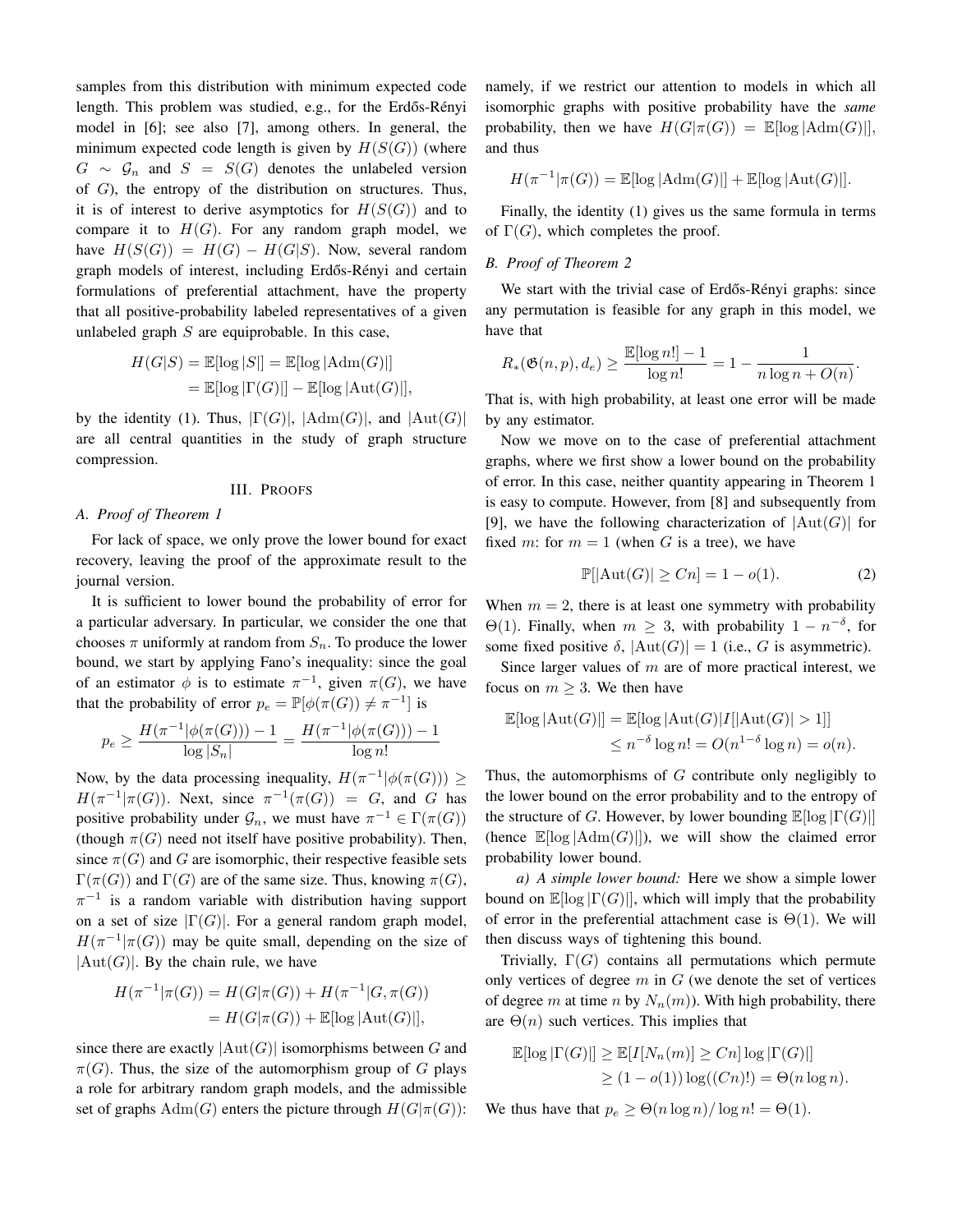samples from this distribution with minimum expected code length. This problem was studied, e.g., for the Erdős-Rényi model in [6]; see also [7], among others. In general, the minimum expected code length is given by  $H(S(G))$  (where  $G \sim \mathcal{G}_n$  and  $S = S(G)$  denotes the unlabeled version of  $G$ ), the entropy of the distribution on structures. Thus, it is of interest to derive asymptotics for  $H(S(G))$  and to compare it to  $H(G)$ . For any random graph model, we have  $H(S(G)) = H(G) - H(G|S)$ . Now, several random graph models of interest, including Erdős-Rényi and certain formulations of preferential attachment, have the property that all positive-probability labeled representatives of a given unlabeled graph  $S$  are equiprobable. In this case,

$$
H(G|S) = \mathbb{E}[\log |S|] = \mathbb{E}[\log |\text{Adm}(G)|]
$$
  
= 
$$
\mathbb{E}[\log |\Gamma(G)|] - \mathbb{E}[\log |\text{Aut}(G)|],
$$

by the identity (1). Thus,  $|\Gamma(G)|$ ,  $|\text{Adm}(G)|$ , and  $|\text{Aut}(G)|$ are all central quantities in the study of graph structure compression.

# III. PROOFS

#### *A. Proof of Theorem 1*

For lack of space, we only prove the lower bound for exact recovery, leaving the proof of the approximate result to the journal version.

It is sufficient to lower bound the probability of error for a particular adversary. In particular, we consider the one that chooses  $\pi$  uniformly at random from  $S_n$ . To produce the lower bound, we start by applying Fano's inequality: since the goal of an estimator  $\phi$  is to estimate  $\pi^{-1}$ , given  $\pi(G)$ , we have that the probability of error  $p_e = \mathbb{P}[\phi(\pi(G)) \neq \pi^{-1}]$  is

$$
p_e \ge \frac{H(\pi^{-1}|\phi(\pi(G))) - 1}{\log |S_n|} = \frac{H(\pi^{-1}|\phi(\pi(G))) - 1}{\log n!}
$$

Now, by the data processing inequality,  $H(\pi^{-1}|\phi(\pi(G))) \ge$  $H(\pi^{-1}|\pi(G))$ . Next, since  $\pi^{-1}(\pi(G)) = G$ , and G has positive probability under  $\mathcal{G}_n$ , we must have  $\pi^{-1} \in \Gamma(\pi(G))$ (though  $\pi(G)$  need not itself have positive probability). Then, since  $\pi(G)$  and G are isomorphic, their respective feasible sets  $\Gamma(\pi(G))$  and  $\Gamma(G)$  are of the same size. Thus, knowing  $\pi(G)$ ,  $\pi^{-1}$  is a random variable with distribution having support on a set of size  $|\Gamma(G)|$ . For a general random graph model,  $H(\pi^{-1}|\pi(G))$  may be quite small, depending on the size of  $|Aut(G)|$ . By the chain rule, we have

$$
H(\pi^{-1}|\pi(G)) = H(G|\pi(G)) + H(\pi^{-1}|G, \pi(G))
$$
  
=  $H(G|\pi(G)) + \mathbb{E}[\log|\text{Aut}(G)|],$ 

since there are exactly  $|\text{Aut}(G)|$  isomorphisms between G and  $\pi(G)$ . Thus, the size of the automorphism group of G plays a role for arbitrary random graph models, and the admissible set of graphs  $Adm(G)$  enters the picture through  $H(G|\pi(G))$ : namely, if we restrict our attention to models in which all isomorphic graphs with positive probability have the *same* probability, then we have  $H(G|\pi(G)) = \mathbb{E}[\log |{\rm Adm}(G)|],$ and thus

$$
H(\pi^{-1}|\pi(G)) = \mathbb{E}[\log |\text{Adm}(G)|] + \mathbb{E}[\log |\text{Aut}(G)|].
$$

Finally, the identity (1) gives us the same formula in terms of  $\Gamma(G)$ , which completes the proof.

# *B. Proof of Theorem 2*

We start with the trivial case of Erdős-Rényi graphs: since any permutation is feasible for any graph in this model, we have that

$$
R_*(\mathfrak{G}(n, p), d_e) \ge \frac{\mathbb{E}[\log n!] - 1}{\log n!} = 1 - \frac{1}{n \log n + O(n)}.
$$

That is, with high probability, at least one error will be made by any estimator.

Now we move on to the case of preferential attachment graphs, where we first show a lower bound on the probability of error. In this case, neither quantity appearing in Theorem 1 is easy to compute. However, from [8] and subsequently from [9], we have the following characterization of  $|\text{Aut}(G)|$  for fixed m: for  $m = 1$  (when G is a tree), we have

$$
\mathbb{P}[|\text{Aut}(G)| \ge Cn] = 1 - o(1). \tag{2}
$$

When  $m = 2$ , there is at least one symmetry with probability  $\Theta(1)$ . Finally, when  $m \geq 3$ , with probability  $1 - n^{-\delta}$ , for some fixed positive  $\delta$ ,  $|\text{Aut}(G)| = 1$  (i.e., G is asymmetric).

Since larger values of  $m$  are of more practical interest, we focus on  $m \geq 3$ . We then have

$$
\mathbb{E}[\log |\text{Aut}(G)|] = \mathbb{E}[\log |\text{Aut}(G)|I[|\text{Aut}(G)| > 1]]
$$
  

$$
\leq n^{-\delta} \log n! = O(n^{1-\delta} \log n) = o(n).
$$

Thus, the automorphisms of  $G$  contribute only negligibly to the lower bound on the error probability and to the entropy of the structure of G. However, by lower bounding  $\mathbb{E}[\log |\Gamma(G)|]$ (hence  $\mathbb{E}[\log |Adm(G)|])$ , we will show the claimed error probability lower bound.

*a) A simple lower bound:* Here we show a simple lower bound on  $\mathbb{E}[\log |\Gamma(G)|]$ , which will imply that the probability of error in the preferential attachment case is  $\Theta(1)$ . We will then discuss ways of tightening this bound.

Trivially,  $\Gamma(G)$  contains all permutations which permute only vertices of degree  $m$  in  $G$  (we denote the set of vertices of degree m at time n by  $N_n(m)$ ). With high probability, there are  $\Theta(n)$  such vertices. This implies that

$$
\mathbb{E}[\log |\Gamma(G)|] \ge \mathbb{E}[I[N_n(m)] \ge Cn] \log |\Gamma(G)|]
$$
  
 
$$
\ge (1 - o(1)) \log((Cn)!) = \Theta(n \log n).
$$

We thus have that  $p_e \geq \Theta(n \log n) / \log n! = \Theta(1)$ .